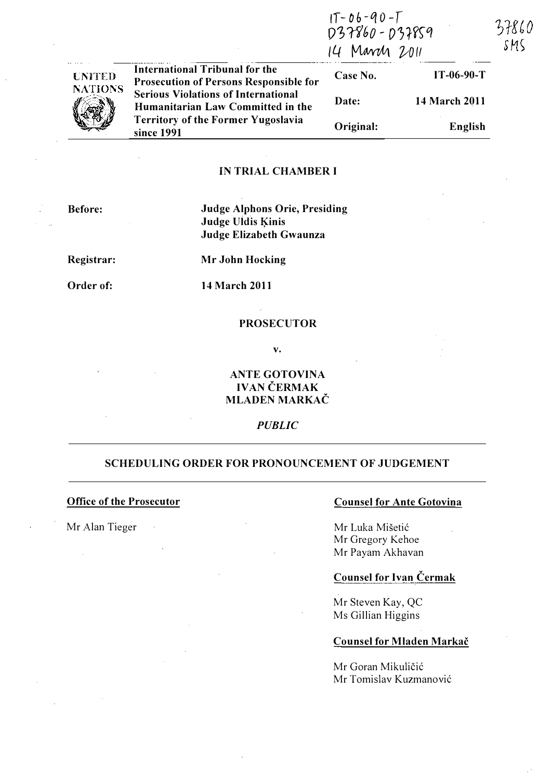| <b>UNITED</b><br><b>NATIONS</b> | <b>International Tribunal for the</b><br><b>Prosecution of Persons Responsible for</b><br><b>Serious Violations of International</b><br>Humanitarian Law Committed in the<br><b>Territory of the Former Yugoslavia</b><br>since 1991 | 037860-037859<br>14 March 2011 |               | つびし<br>SMS |
|---------------------------------|--------------------------------------------------------------------------------------------------------------------------------------------------------------------------------------------------------------------------------------|--------------------------------|---------------|------------|
|                                 |                                                                                                                                                                                                                                      | Case No.                       | $IT-06-90-T$  |            |
|                                 |                                                                                                                                                                                                                                      | Date:                          | 14 March 2011 |            |
|                                 |                                                                                                                                                                                                                                      | Original:                      | English       |            |

 $1T - 06 - 90 - T$ 

### iN TRIAL CHAMBER I

Before:

Judge Alphons Orie, Presiding Judge Uldis Kinis Judge Elizabeth Gwaunza

Registrar:

Mr John Hocking

Order of:

14 March 2011

#### PROSECUTOR

v.

# ANTE GOTOVINA IVAN ČERMAK MLADEN MARKAČ

### **PUBLIC**

#### SCHEDULING ORDER FOR PRONOUNCEMENT OF JUDGEMENT

## Office of the Prosecutor

Mr Alan Tieger

## Counsel for Ante Gotovina

Mr Luka Mišetić Mr Gregory Kehoe Mr Payam Akhavan

# Counsel for Ivan Cermak

Mr Steven Kay, QC Ms Gillian Higgins

## Counsel for Mladen Markač

Mr Goran Mikuličić Mr Tomislav Kuzmanovic